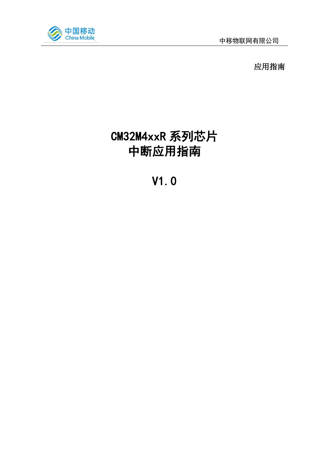

应用指南

# CM32M4xxR 系列芯片 中断应用指南

V1.0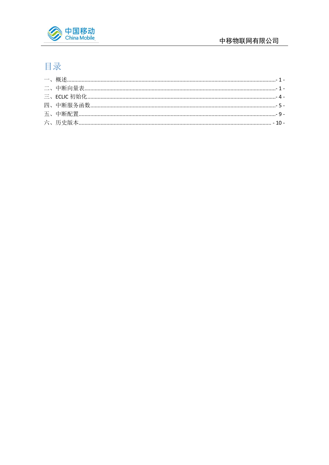

# 目录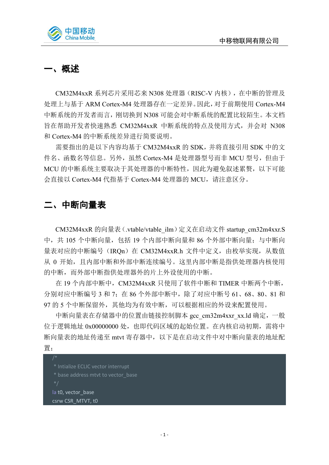

# <span id="page-2-0"></span>一、概述

CM32M4xxR 系列芯片采用芯来 N308 处理器(RISC-V 内核),在中断的管理及 处理上与基于 ARM Cortex-M4 处理器存在一定差异。因此,对于前期使用 Cortex-M4 中断系统的开发者而言,刚切换到 N308 可能会对中断系统的配置比较陌生。本文档 旨在帮助开发者快速熟悉 CM32M4xxR 中断系统的特点及使用方式,并会对 N308 和 Cortex-M4 的中断系统差异进行简要说明。

需要指出的是以下内容均基于 CM32M4xxR 的 SDK,并将直接引用 SDK 中的文 件名、函数名等信息。另外, 虽然 Cortex-M4 是处理器型号而非 MCU 型号, 但由于 MCU 的中断系统主要取决于其处理器的中断特性,因此为避免叙述累赘,以下可能 会直接以 Cortex-M4 代指基于 Cortex-M4 处理器的 MCU, 请注意区分。

# <span id="page-2-1"></span>二、中断向量表

CM32M4xxR 的向量表(.vtable/vtable\_ilm)定义在启动文件 startup\_cm32m4xxr.S 中,共 105 个中断向量,包括 19 个内部中断向量和 86 个外部中断向量;与中断向 量表对应的中断编号(IROn)在 CM32M4xxR.h 文件中定义, 由枚举实现, 从数值 从 0 开始, 且内部中断和外部中断连续编号。这里内部中断是指供处理器内核使用 的中断,而外部中断指供处理器外的片上外设使用的中断。

在 19 个内部中断中,CM32M4xxR 只使用了软件中断和 TIMER 中断两个中断, 分别对应中断编号 3 和 7;在 86 个外部中断中,除了对应中断号 61、68、80、81 和 97 的 5 个中断保留外, 其他均为有效中断, 可以根据相应的外设来配置使用。

中断向量表在存储器中的位置由链接控制脚本 gcc\_cm32m4xxr\_xx.ld 确定, 一般 位于逻辑地址 0x00000000 处, 也即代码区域的起始位置。在内核启动初期, 需将中 断向量表的地址传递至 mtvt 寄存器中,以下是在启动文件中对中断向量表的地址配 置;

\* Intialize ECLIC vector interrupt \* base address mtvt to vector\_base la t0, vector base csrw CSR\_MTVT, t0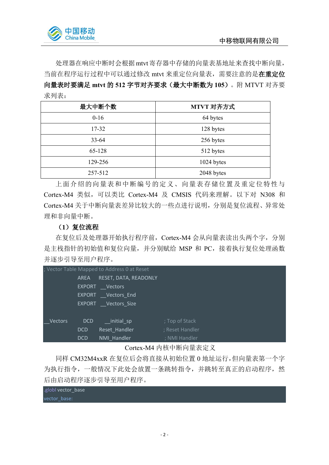

处理器在响应中断时会根据mtvt寄存器中存储的向量表基地址来查找中断向量, 当前在程序运行过程中可以通过修改 mtvt 来重定位向量表,需要注意的是在重定位 向量表时要满足 **mtvt** 的 **512** 字节对齐要求(最大中断数为 **105**)。附 MTVT 对齐要 求列表:

| 最大中断个数    | MTVT 对齐方式  |
|-----------|------------|
| $0-16$    | 64 bytes   |
| 17-32     | 128 bytes  |
| $33 - 64$ | 256 bytes  |
| 65-128    | 512 bytes  |
| 129-256   | 1024 bytes |
| 257-512   | 2048 bytes |

上面介绍的向量表和中断编号的定义、向量表存储位置及重定位特性与 Cortex-M4 类似,可以类比 Cortex-M4 及 CMSIS 代码来理解。以下对 N308 和 Cortex-M4 关于中断向量表差异比较大的一些点进行说明,分别是复位流程、异常处 理和非向量中断。

### (**1**)复位流程

在复位后及处理器开始执行程序前,Cortex-M4 会从向量表读出头两个字,分别 是主栈指针的初始值和复位向量,并分别赋给 MSP 和 PC,接着执行复位处理函数 并逐步引导至用户程序。

|         |               | ; Vector Table Mapped to Address 0 at Reset |                 |
|---------|---------------|---------------------------------------------|-----------------|
|         | <b>AREA</b>   | RESET, DATA, READONLY                       |                 |
|         | <b>EXPORT</b> | <b>Vectors</b>                              |                 |
|         | <b>EXPORT</b> | Vectors End                                 |                 |
|         |               | EXPORT Vectors Size                         |                 |
|         |               |                                             |                 |
| Vectors | <b>DCD</b>    | __initial_sp                                | ; Top of Stack  |
|         | <b>DCD</b>    | Reset Handler                               | ; Reset Handler |
|         | <b>DCD</b>    | NMI Handler                                 | ; NMI Handler   |

Cortex-M4 内核中断向量表定义

同样 CM32M4xxR 在复位后会将直接从初始位置 0 地址运行,但向量表第一个字 为执行指令,一般情况下此处会放置一条跳转指令,并跳转至真正的启动程序,然 后由启动程序逐步引导至用户程序。

| .globl vector_base |  |  |
|--------------------|--|--|
| vector base:       |  |  |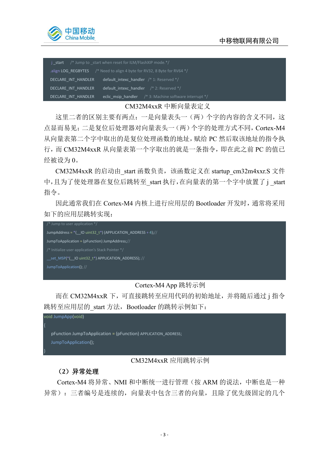

|                     | j start $\frac{1}{2}$ Jump to start when reset for ILM/FlashXIP mode.*/                        |
|---------------------|------------------------------------------------------------------------------------------------|
|                     | .align LOG REGBYTES $\frac{1}{8}$ Need to align 4 byte for RV32, 8 Byte for RV64 $\frac{1}{8}$ |
| DECLARE INT HANDLER | default intexc handler $/* 1$ : Reserved $*/$                                                  |
| DECLARE INT HANDLER | default intexc handler $\frac{1}{2}$ : Reserved */                                             |
| DECLARE INT HANDLER | eclic msip handler $\frac{1}{2}$ 3: Machine software interrupt $\frac{1}{2}$                   |

#### CM32M4xxR 中断向量表定义

这里二者的区别主要有两点:一是向量表头一(两)个字的内容的含义不同,这 点显而易见;二是复位后处理器对向量表头一(两)个字的处理方式不同,Cortex-M4 从向量表第二个字中取出的是复位处理函数的地址,赋给 PC 然后取该地址的指令执 行,而 CM32M4xxR 从向量表第一个字取出的就是一条指令,即在此之前 PC 的值已 经被设为 0。

CM32M4xxR 的启动由\_start 函数负责,该函数定义在 startup\_cm32m4xxr.S 文件 中,且为了使处理器在复位后跳转至\_start 执行,在向量表的第一个字中放置了 j \_start 指令。

因此通常我们在 Cortex-M4 内核上进行应用层的 Bootloader 开发时,通常将采用 如下的应用层跳转实现:



### Cortex-M4 App 跳转示例

而在 CM32M4xxR 下,可直接跳转至应用代码的初始地址,并将随后通过 j 指令 跳转至应用层的\_start 方法, Bootloader 的跳转示例如下:



### CM32M4xxR 应用跳转示例

### (**2**)异常处理

Cortex-M4 将异常、NMI 和中断统一进行管理(按 ARM 的说法,中断也是一种 异常): 三者编号是连续的, 向量表中包含三者的向量, 且除了优先级固定的几个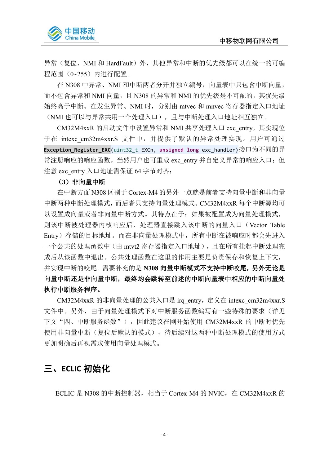

异常(复位、NMI 和 HardFault)外, 其他异常和中断的优先级都可以在统一的可编 程范围(0~255)内进行配置。

在 N308 中异常、NMI 和中断两者分开并独立编号, 向量表中只包含中断向量, 而不包含异常和 NMI 向量, 且 N308 的异常和 NMI 的优先级是不可配的, 其优先级 始终高于中断。在发生异常、NMI 时,分别由 mtvec 和 mnvec 寄存器指定入口地址 (NMI 也可以与异常共用一个处理入口),且与中断处理入口地址相互独立。

CM32M4xxR 的启动文件中设置异常和 NMI 共享处理入口 exc\_entry,其实现位 于在 intexc cm32m4xxr.S 文件中, 并提供了默认的异常处理实现。用户可通过 **Exception\_Register\_EXC**(uint32\_t EXCn, **unsigned long** exc\_handler)接口为不同的异 常注册响应的响应函数。当然用户也可重载 exc\_entry 并自定义异常的响应入口;但 注意 exc\_entry 入口地址需保证 64 字节对齐;

#### (**3**)非向量中断

在中断方面 N308 区别于 Cortex-M4 的另外一点就是前者支持向量中断和非向量 中断两种中断处理模式,而后者只支持向量处理模式。CM32M4xxR 每个中断源均可 以设置成向量或者非向量中断方式。其特点在于:如果被配置成为向量处理模式, 则该中断被处理器内核响应后,处理器直接跳入该中断的向量入口(Vector Table Entry)存储的目标地址。而在非向量处理模式中,所有中断在被响应时都会先进入 一个公共的处理函数中(由 mtvt2 寄存器指定入口地址),且在所有挂起中断处理完 成后从该函数中退出。公共处理函数在这里的作用主要是负责保存和恢复上下文, 并实现中断的咬尾。需要补充的是 **N308** 向量中断模式不支持中断咬尾,另外无论是 向量中断还是非向量中断,最终均会跳转至前述的中断向量表中相应的中断向量处 执行中断服务程序。

CM32M4xxR 的非向量处理的公共入口是 irq\_entry,定义在 intexc\_cm32m4xxr.S 文件中。另外,由于向量处理模式下对中断服务函数编写有一些特殊的要求(详见 下文"四、中断服务函数"),因此建议在刚开始使用 CM32M4xxR 的中断时优先 使用非向量中断(复位后默认的模式),待后续对这两种中断处理模式的使用方式 更加明确后再视需求使用向量处理模式。

# <span id="page-5-0"></span>三、**ECLIC** 初始化

ECLIC 是 N308 的中断控制器, 相当于 Cortex-M4 的 NVIC, 在 CM32M4xxR 的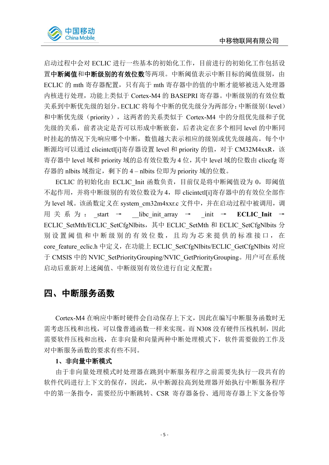

启动过程中会对 ECLIC 进行一些基本的初始化工作,目前进行的初始化工作包括设 置中断阈值和中断级别的有效位数等两项。中断阈值表示中断目标的阈值级别,由 ECLIC 的 mth 寄存器配置,只有高于 mth 寄存器中的值的中断才能够被送入处理器 内核进行处理,功能上类似于 Cortex-M4 的 BASEPRI 寄存器。中断级别的有效位数 关系到中断优先级的划分。ECLIC 将每个中断的优先级分为两部分:中断级别(level) 和中断优先级(priority),这两者的关系类似于 Cortex-M4 中的分组优先级和子优 先级的关系,前者决定是否可以形成中断嵌套,后者决定在多个相同 level 的中断同 时挂起的情况下先响应哪个中断,数值越大表示相应的级别或优先级越高。每个中 断源均可以通过 clicintctl[i]寄存器设置 level 和 priority 的值, 对于 CM32M4xxR, 该 寄存器中 level 域和 priority 域的总有效位数为 4 位,其中 level 域的位数由 cliccfg 寄 存器的 nlbits 域指定,剩下的 4 – nlbits 位即为 priority 域的位数。

ECLIC 的初始化由 ECLIC Init 函数负责,目前仅是将中断阈值设为 0, 即阈值 不起作用,并将中断级别的有效位数设为 4, 即 clicintctl[i]寄存器中的有效位全部作 为 level 域。该函数定义在 system\_cm32m4xxr.c 文件中,并在启动过程中被调用,调 用 关 系 为 : start → \_\_libc\_init\_array → \_\_init → **ECLIC\_Init** → ECLIC\_SetMth/ECLIC\_SetCfgNlbits, 其中 ECLIC\_SetMth 和 ECLIC\_SetCfgNlbits 分 别设置阈值和中断级别的有效位数,且均为芯来提供的标准接口,在 core\_feature\_eclic.h 中定义, 在功能上 ECLIC\_SetCfgNlbits/ECLIC\_GetCfgNlbits 对应 于 CMSIS 中的 NVIC\_SetPriorityGrouping/NVIC\_GetPriorityGrouping。用户可在系统 启动后重新对上述阈值、中断级别有效位进行自定义配置;

# <span id="page-6-0"></span>四、中断服务函数

Cortex-M4 在响应中断时硬件会自动保存上下文,因此在编写中断服务函数时无 需考虑压栈和出栈,可以像普通函数一样来实现。而 N308 没有硬件压栈机制,因此 需要软件压栈和出栈,在非向量和向量两种中断处理模式下,软件需要做的工作及 对中断服务函数的要求有些不同。

#### **1**、非向量中断模式

由于非向量处理模式时处理器在跳到中断服务程序之前需要先执行一段共有的 软件代码进行上下文的保存,因此,从中断源拉高到处理器开始执行中断服务程序 中的第一条指令,需要经历中断跳转、CSR 寄存器备份、通用寄存器上下文备份等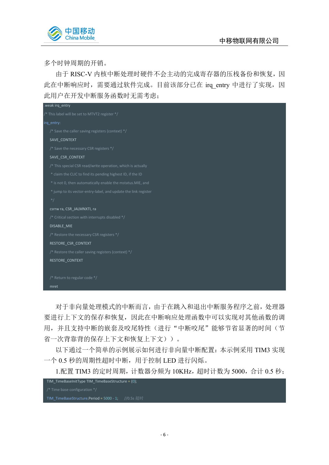

多个时钟周期的开销。

由于 RISC-V 内核中断处理时硬件不会主动的完成寄存器的压栈备份和恢复,因 此在中断响应时,需要通过软件完成。目前该部分已在 irq\_entry 中进行了实现,因 此用户在开发中断服务函数时无需考虑;

| .weak irg entry                                                |
|----------------------------------------------------------------|
| /* This label will be set to MTVT2 register */                 |
| irq entry:                                                     |
| /* Save the caller saving registers (context) */               |
| SAVE CONTEXT                                                   |
| /* Save the necessary CSR registers */                         |
| SAVE CSR CONTEXT                                               |
| /* This special CSR read/write operation, which is actually    |
| * claim the CLIC to find its pending highest ID, if the ID     |
| * is not 0, then automatically enable the mstatus. MIE, and    |
| * jump to its vector-entry-label, and update the link register |
| $^*/$                                                          |
| csrrw ra, CSR_JALMNXTI, ra                                     |
| /* Critical section with interrupts disabled */                |
| DISABLE MIE                                                    |
| /* Restore the necessary CSR registers */                      |
| RESTORE CSR CONTEXT                                            |
| /* Restore the caller saving registers (context) */            |
| RESTORE_CONTEXT                                                |
|                                                                |
| /* Return to regular code */                                   |
| mret                                                           |
|                                                                |

对于非向量处理模式的中断而言,由于在跳入和退出中断服务程序之前,处理器 要进行上下文的保存和恢复,因此在中断响应处理函数中可以实现对其他函数的调 用,并且支持中断的嵌套及咬尾特性(进行"中断咬尾"能够节省显著的时间(节 省一次背靠背的保存上下文和恢复上下文))。

以下通过一个简单的示例展示如何进行非向量中断配置:本示例采用 TIM3 实现 一个 0.5 秒的周期性超时中断,用于控制 LED 进行闪烁。

1.配置 TIM3 的定时周期, 计数器分频为 10KHz, 超时计数为 5000, 合计 0.5 秒;

| TIM TimeBaseInitType TIM TimeBaseStructure = $\{0\}$ ;    |  |
|-----------------------------------------------------------|--|
| /* Time base configuration $*/$                           |  |
| <b>TIM TimeBaseStructure.Period = 5000 - 1;</b> //0.5s 超时 |  |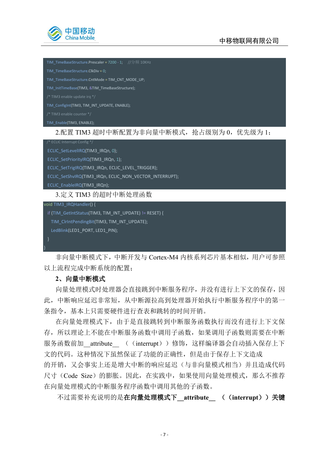

**TIM\_TimeBaseStructure.Prescaler = 7200 - 1;** //分频 10KHz TIM\_TimeBaseStructure.ClkDiv = 0; TIM\_TimeBaseStructure.CntMode = TIM\_CNT\_MODE\_UP; TIM\_InitTimeBase(TIM3, &TIM\_TimeBaseStructure); TIM\_ConfigInt(TIM3, TIM\_INT\_UPDATE, ENABLE); /\* TIM3 enable counter \*/ TIM\_Enable(TIM3, ENABLE); 2.配置 TIM3 超时中断配置为非向量中断模式,抢占级别为 0,优先级为 1; /\* ECLIC Interrupt Config \*/ ECLIC\_SetLevelIRQ(TIM3\_IRQn, 0); ECLIC\_SetPriorityIRQ(TIM3\_IRQn, 1); ECLIC\_SetTrigIRQ(TIM3\_IRQn, ECLIC\_LEVEL\_TRIGGER); ECLIC\_SetShvIRQ(TIM3\_IRQn, ECLIC\_NON\_VECTOR\_INTERRUPT); ECLIC\_EnableIRQ(TIM3\_IRQn); 3.定义 TIM3 的超时中断处理函数 void TIM3\_IRQHandler() { if (TIM\_GetIntStatus(TIM3, TIM\_INT\_UPDATE) != RESET) { TIM\_ClrIntPendingBit(TIM3, TIM\_INT\_UPDATE); LedBlink(LED1\_PORT, LED1\_PIN); } }

非向量中断模式下,中断开发与 Cortex-M4 内核系列芯片基本相似,用户可参照 以上流程完成中断系统的配置;

### **2**、向量中断模式

向量处理模式时处理器会直接跳到中断服务程序,并没有进行上下文的保存,因 此,中断响应延迟非常短,从中断源拉高到处理器开始执行中断服务程序中的第一 条指令,基本上只需要硬件进行查表和跳转的时间开销。

在向量处理模式下,由于是直接跳转到中断服务函数执行而没有进行上下文保 存,所以理论上不能在中断服务函数中调用子函数,如果调用子函数则需要在中断 服务函数前加\_\_attribute\_\_\_ ((interrupt))修饰,这样编译器会自动插入保存上下 文的代码。这种情况下虽然保证了功能的正确性,但是由于保存上下文造成 的开销,又会事实上还是增大中断的响应延迟(与非向量模式相当)并且造成代码 尺寸(Code Size)的膨胀。因此, 在实践中, 如果使用向量处理模式, 那么不推荐 在向量处理模式的中断服务程序函数中调用其他的子函数。

不过需要补充说明的是在向量处理模式下**\_\_attribute\_\_** ((**interrupt**))关键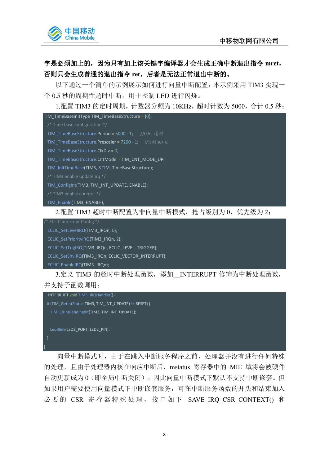

### 字是必须加上的,因为只有加上该关键字编译器才会生成正确中断退出指令 **mret**, 否则只会生成普通的退出指令 **ret**,后者是无法正常退出中断的。

以下通过一个简单的示例展示如何进行向量中断配置:本示例采用 TIM3 实现一 个 0.5 秒的周期性超时中断,用于控制 LED 进行闪烁。

1.配置 TIM3 的定时周期,计数器分频为 10KHz,超时计数为 5000,合计 0.5 秒;

TIM\_TimeBaseInitType TIM\_TimeBaseStructure =  ${0}$ ;

/\* Time base configuration \*/

TIM\_TimeBaseStructure.Period = 5000 - 1: //0.5s 超时

**TIM\_TimeBaseStructure.Prescaler = 7200 - 1;** //分频 10KHz

TIM\_TimeBaseStructure.ClkDiv = 0;

TIM\_TimeBaseStructure.CntMode = TIM\_CNT\_MODE\_UP;

TIM\_InitTimeBase(TIM3, &TIM\_TimeBaseStructure);

TIM\_ConfigInt(TIM3, TIM\_INT\_UPDATE, ENABLE);

/\* TIM3 enable counter \*/

TIM\_Enable(TIM3, ENABLE);

2.配置 TIM3 超时中断配置为非向量中断模式, 抢占级别为 0, 优先级为 2;

/\* ECLIC Interrupt Config \*/

ECLIC\_SetLevelIRQ(TIM3\_IRQn, 0);

ECLIC SetPriorityIRQ(TIM3\_IRQn, 2);

ECLIC\_SetTrigIRQ(TIM3\_IRQn, ECLIC\_LEVEL\_TRIGGER);

ECLIC\_SetShvIRQ(TIM3\_IRQn, ECLIC\_VECTOR\_INTERRUPT);

ECLIC\_EnableIRQ(TIM3\_IRQn);

3.定义 TIM3 的超时中断处理函数,添加 INTERRUPT 修饰为中断处理函数, 并支持子函数调用;



向量中断模式时,由于在跳入中断服务程序之前,处理器并没有进行任何特殊 的处理,且由于处理器内核在响应中断后,mstatus 寄存器中的 MIE 域将会被硬件 自动更新成为 0(即全局中断关闭)。因此向量中断模式下默认不支持中断嵌套。但 如果用户需要使用向量模式下中断嵌套服务,可在中断服务函数的开头和结束加入 必要的 CSR 寄存器特殊处理, 接口如下 SAVE IRQ CSR CONTEXT() 和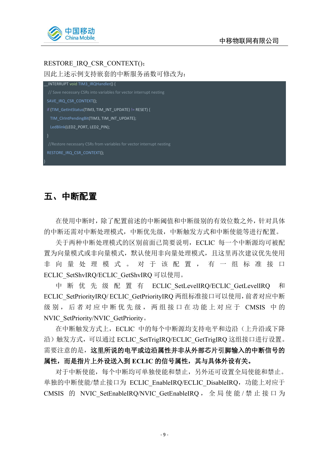

### RESTORE\_IRQ\_CSR\_CONTEXT();

因此上述示例支持嵌套的中断服务函数可修改为:

INTERRUPT void TIM3\_IRQHandler() { SAVE\_IRQ\_CSR\_CONTEXT(); if (TIM\_GetIntStatus(TIM3, TIM\_INT\_UPDATE) != RESET) { TIM\_ClrIntPendingBit(TIM3, TIM\_INT\_UPDATE); LedBlink(LED2\_PORT, LED2\_PIN); //Restore necessary CSRs from variables for vector interrupt nesting RESTORE\_IRQ\_CSR\_CONTEXT(); }

## <span id="page-10-0"></span>五、中断配置

在使用中断时,除了配置前述的中断阈值和中断级别的有效位数之外,针对具体 的中断还需对中断处理模式,中断优先级,中断触发方式和中断使能等进行配置。

关于两种中断处理模式的区别前面已简要说明,ECLIC 每一个中断源均可被配 置为向量模式或非向量模式,默认使用非向量处理模式,且这里再次建议优先使用 非向量处理模式。对于该配置,有一组标准接口 ECLIC\_SetShvIRQ/ECLIC\_GetShvIRQ 可以使用。

中 断 优 先 级 配 置 有 ECLIC SetLevelIRQ/ECLIC GetLevelIRQ 和 ECLIC\_SetPriorityIRQ/ ECLIC\_GetPriorityIRQ 两组标准接口可以使用,前者对应中断 级别, 后者对应中断优先级, 两组接口在功能上对应于 CMSIS 中的 NVIC\_SetPriority/NVIC\_GetPriority。

在中断触发方式上, ECLIC 中的每个中断源均支持电平和边沿(上升沿或下降 沿) 触发方式, 可以通过 ECLIC\_SetTrigIRQ/ECLIC\_GetTrigIRQ 这组接口进行设置。 需要注意的是,这里所说的电平或边沿属性并非从外部芯片引脚输入的中断信号的 属性,而是指片上外设送入到 **ECLIC** 的信号属性,其与具体外设有关。

对于中断使能,每个中断均可单独使能和禁止,另外还可设置全局使能和禁止。 单独的中断使能/禁止接口为 ECLIC EnableIRQ/ECLIC DisableIRQ, 功能上对应于 CMSIS 的 NVIC SetEnableIRQ/NVIC GetEnableIRQ, 全局使能 / 禁 止 接 口 为